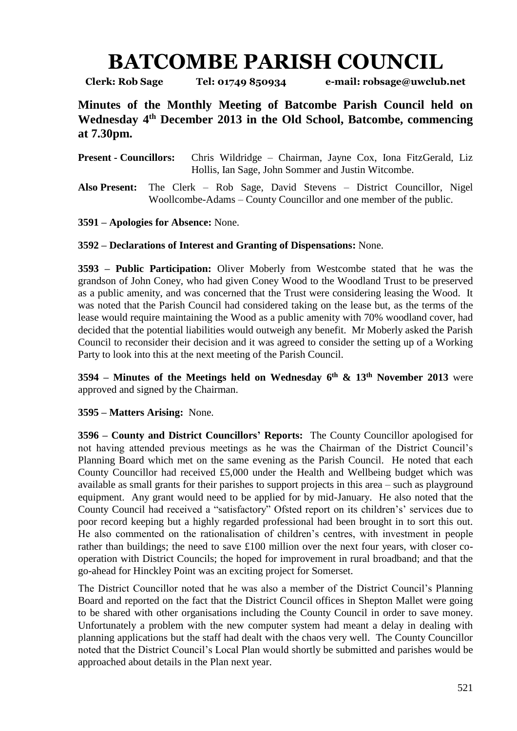## **BATCOMBE PARISH COUNCIL**

**Clerk: Rob Sage Tel: 01749 850934 e-mail: robsage@uwclub.net**

**Minutes of the Monthly Meeting of Batcombe Parish Council held on Wednesday 4 th December 2013 in the Old School, Batcombe, commencing at 7.30pm.**

**Present - Councillors:** Chris Wildridge – Chairman, Jayne Cox, Iona FitzGerald, Liz Hollis, Ian Sage, John Sommer and Justin Witcombe.

**Also Present:** The Clerk – Rob Sage, David Stevens – District Councillor, Nigel Woollcombe-Adams – County Councillor and one member of the public.

**3591 – Apologies for Absence:** None.

**3592 – Declarations of Interest and Granting of Dispensations:** None.

**3593 – Public Participation:** Oliver Moberly from Westcombe stated that he was the grandson of John Coney, who had given Coney Wood to the Woodland Trust to be preserved as a public amenity, and was concerned that the Trust were considering leasing the Wood. It was noted that the Parish Council had considered taking on the lease but, as the terms of the lease would require maintaining the Wood as a public amenity with 70% woodland cover, had decided that the potential liabilities would outweigh any benefit. Mr Moberly asked the Parish Council to reconsider their decision and it was agreed to consider the setting up of a Working Party to look into this at the next meeting of the Parish Council.

**3594 – Minutes of the Meetings held on Wednesday 6 th & 13th November 2013** were approved and signed by the Chairman.

**3595 – Matters Arising:** None.

**3596 – County and District Councillors' Reports:** The County Councillor apologised for not having attended previous meetings as he was the Chairman of the District Council's Planning Board which met on the same evening as the Parish Council. He noted that each County Councillor had received £5,000 under the Health and Wellbeing budget which was available as small grants for their parishes to support projects in this area – such as playground equipment. Any grant would need to be applied for by mid-January. He also noted that the County Council had received a "satisfactory" Ofsted report on its children's' services due to poor record keeping but a highly regarded professional had been brought in to sort this out. He also commented on the rationalisation of children's centres, with investment in people rather than buildings; the need to save £100 million over the next four years, with closer cooperation with District Councils; the hoped for improvement in rural broadband; and that the go-ahead for Hinckley Point was an exciting project for Somerset.

The District Councillor noted that he was also a member of the District Council's Planning Board and reported on the fact that the District Council offices in Shepton Mallet were going to be shared with other organisations including the County Council in order to save money. Unfortunately a problem with the new computer system had meant a delay in dealing with planning applications but the staff had dealt with the chaos very well. The County Councillor noted that the District Council's Local Plan would shortly be submitted and parishes would be approached about details in the Plan next year.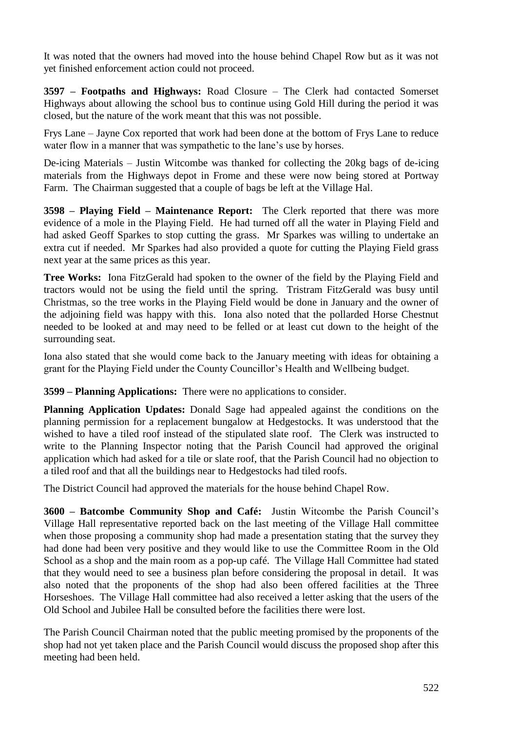It was noted that the owners had moved into the house behind Chapel Row but as it was not yet finished enforcement action could not proceed.

**3597 – Footpaths and Highways:** Road Closure – The Clerk had contacted Somerset Highways about allowing the school bus to continue using Gold Hill during the period it was closed, but the nature of the work meant that this was not possible.

Frys Lane – Jayne Cox reported that work had been done at the bottom of Frys Lane to reduce water flow in a manner that was sympathetic to the lane's use by horses.

De-icing Materials – Justin Witcombe was thanked for collecting the 20kg bags of de-icing materials from the Highways depot in Frome and these were now being stored at Portway Farm. The Chairman suggested that a couple of bags be left at the Village Hal.

**3598 – Playing Field – Maintenance Report:** The Clerk reported that there was more evidence of a mole in the Playing Field. He had turned off all the water in Playing Field and had asked Geoff Sparkes to stop cutting the grass. Mr Sparkes was willing to undertake an extra cut if needed. Mr Sparkes had also provided a quote for cutting the Playing Field grass next year at the same prices as this year.

**Tree Works:** Iona FitzGerald had spoken to the owner of the field by the Playing Field and tractors would not be using the field until the spring. Tristram FitzGerald was busy until Christmas, so the tree works in the Playing Field would be done in January and the owner of the adjoining field was happy with this. Iona also noted that the pollarded Horse Chestnut needed to be looked at and may need to be felled or at least cut down to the height of the surrounding seat.

Iona also stated that she would come back to the January meeting with ideas for obtaining a grant for the Playing Field under the County Councillor's Health and Wellbeing budget.

**3599 – Planning Applications:** There were no applications to consider.

**Planning Application Updates:** Donald Sage had appealed against the conditions on the planning permission for a replacement bungalow at Hedgestocks. It was understood that the wished to have a tiled roof instead of the stipulated slate roof. The Clerk was instructed to write to the Planning Inspector noting that the Parish Council had approved the original application which had asked for a tile or slate roof, that the Parish Council had no objection to a tiled roof and that all the buildings near to Hedgestocks had tiled roofs.

The District Council had approved the materials for the house behind Chapel Row.

**3600 – Batcombe Community Shop and Café:** Justin Witcombe the Parish Council's Village Hall representative reported back on the last meeting of the Village Hall committee when those proposing a community shop had made a presentation stating that the survey they had done had been very positive and they would like to use the Committee Room in the Old School as a shop and the main room as a pop-up café. The Village Hall Committee had stated that they would need to see a business plan before considering the proposal in detail. It was also noted that the proponents of the shop had also been offered facilities at the Three Horseshoes. The Village Hall committee had also received a letter asking that the users of the Old School and Jubilee Hall be consulted before the facilities there were lost.

The Parish Council Chairman noted that the public meeting promised by the proponents of the shop had not yet taken place and the Parish Council would discuss the proposed shop after this meeting had been held.